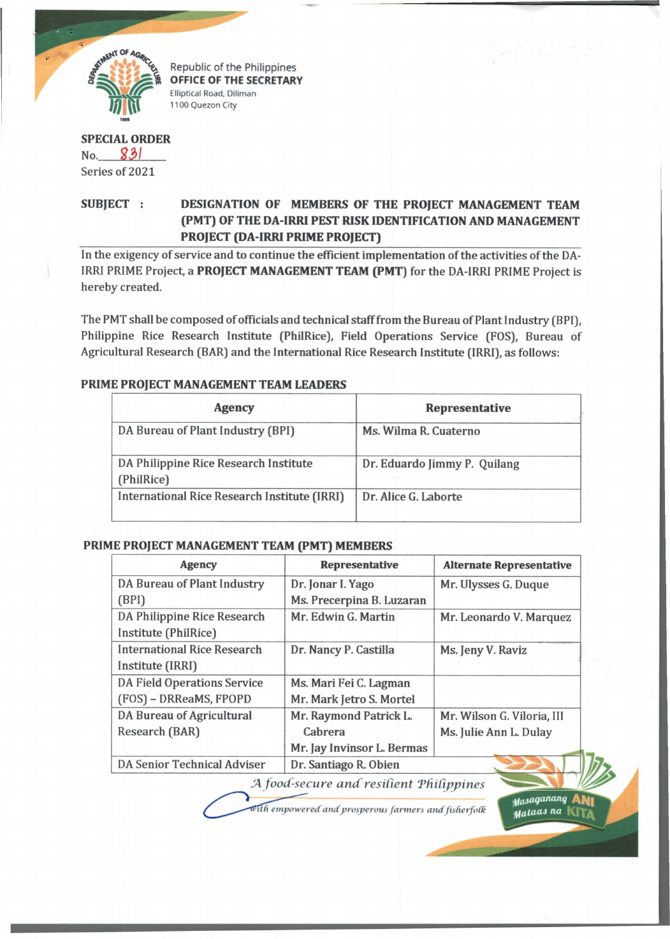

Republic of the Philippines OFFICE OF THE SECRETARY Elliptical Road, Diliman 1100 Quezon City

## **SPECIAL ORDER** No. *S 3 1* Series of 2021

# **SUBJECT : DESIGNATION OF MEMBERS OF THE PROJECT MANAGEMENT TEAM (PMT) OF THE DA-IRRI PEST RISK IDENTIFICATION AND MANAGEMENT PROJECT (DA-IRRI PRIME PROJECT)**

In the exigency of service and to continue the efficient implementation of the activities of the DA-IRRI PRIME Project, a **PROJECT MANAGEMENT TEAM (PMT)** for the DA-IRRI PRIME Project is hereby created.

The PMT shall be composed of officials and technical staff from the Bureau of Plant Industry (BPI), Philippine Rice Research Institute (PhilRice), Field Operations Service (FOS), Bureau of Agricultural Research (BAR) and the International Rice Research Institute (IRRI), as follows:

#### **PRIME PROJECT MANAGEMENT TEAM LEADERS**

| <b>Agency</b>                                       | Representative               |  |
|-----------------------------------------------------|------------------------------|--|
| DA Bureau of Plant Industry (BPI)                   | Ms. Wilma R. Cuaterno        |  |
| DA Philippine Rice Research Institute<br>(PhilRice) | Dr. Eduardo Jimmy P. Quilang |  |
| International Rice Research Institute (IRRI)        | Dr. Alice G. Laborte         |  |

## **PRIME PROJECT MANAGEMENT TEAM (PMT) MEMBERS**

| <b>Agency</b>                           | <b>Representative</b>      | <b>Alternate Representative</b> |
|-----------------------------------------|----------------------------|---------------------------------|
| DA Bureau of Plant Industry             | Dr. Jonar I. Yago          | Mr. Ulysses G. Duque            |
| (BPI)                                   | Ms. Precerpina B. Luzaran  |                                 |
| DA Philippine Rice Research             | Mr. Edwin G. Martin        | Mr. Leonardo V. Marquez         |
| Institute (PhilRice)                    |                            |                                 |
| <b>International Rice Research</b>      | Dr. Nancy P. Castilla      | Ms. Jeny V. Raviz               |
| Institute (IRRI)                        |                            |                                 |
| <b>DA Field Operations Service</b>      | Ms. Mari Fei C. Lagman     |                                 |
| (FOS) - DRReaMS, FPOPD                  | Mr. Mark Jetro S. Mortel   |                                 |
| DA Bureau of Agricultural               | Mr. Raymond Patrick L.     | Mr. Wilson G. Viloria, III      |
| Research (BAR)                          | Cabrera                    | Ms. Julie Ann L. Dulay          |
|                                         | Mr. Jay Invinsor L. Bermas |                                 |
| DA Senior Technical Adviser             | Dr. Santiago R. Obien      |                                 |
| A food-secure and resilient Philinnines |                            |                                 |

*JA food-secure and resilient THilippines*

*.yaiaqaiuinq* **ANi** (H flUiaJ *na* !

with empowered and prosperous farmers and fisherfolk